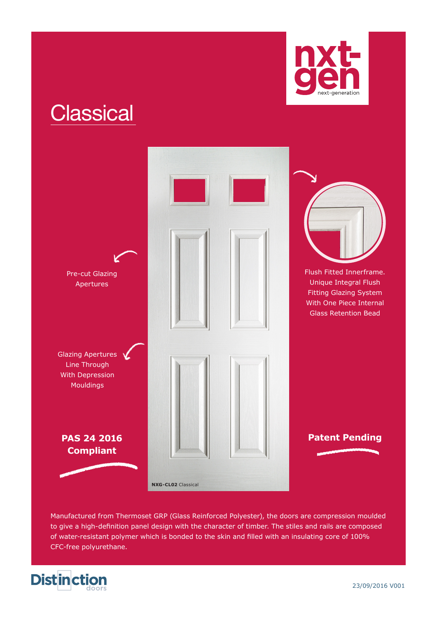

# **Classical**



Manufactured from Thermoset GRP (Glass Reinforced Polyester), the doors are compression moulded to give a high-definition panel design with the character of timber. The stiles and rails are composed of water-resistant polymer which is bonded to the skin and filled with an insulating core of 100% CFC-free polyurethane.